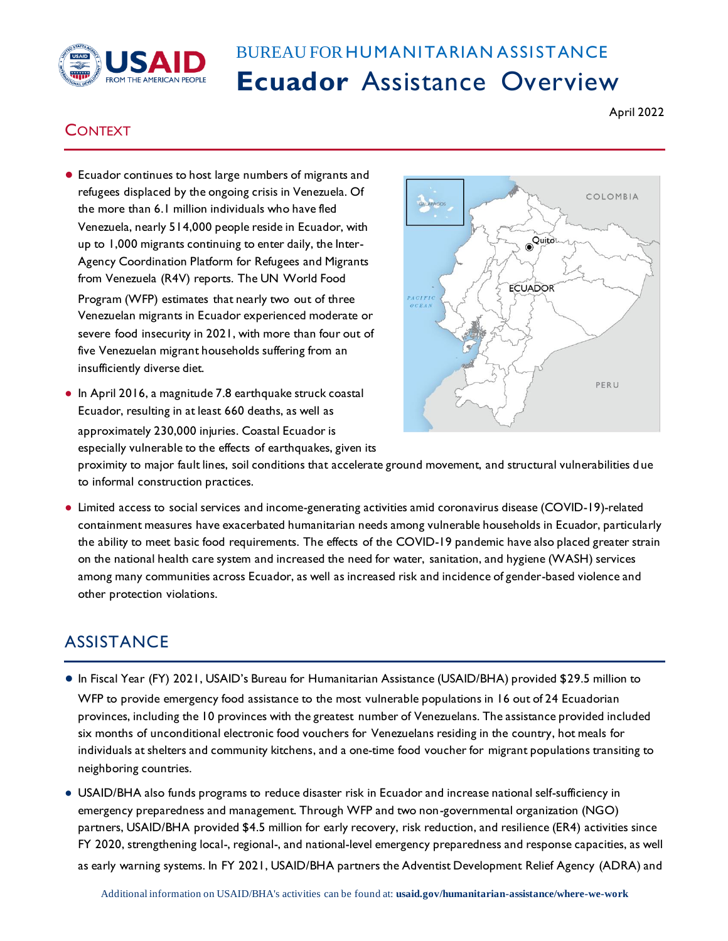

## BUREAU FOR HUMANITARIAN ASSISTANCE **Ecuador** Assistance Overview

## April 2022

## **CONTEXT**

● Ecuador continues to host large numbers of migrants and refugees displaced by the ongoing crisis in Venezuela. Of the more than 6.1 million individuals who have fled Venezuela, nearly 514,000 people reside in Ecuador, with up to 1,000 migrants continuing to enter daily, the Inter-Agency Coordination Platform for Refugees and Migrants from Venezuela (R4V) reports. The UN World Food

Program (WFP) estimates that nearly two out of three Venezuelan migrants in Ecuador experienced moderate or severe food insecurity in 2021, with more than four out of five Venezuelan migrant households suffering from an insufficiently diverse diet.

● In April 2016, a magnitude 7.8 earthquake struck coastal Ecuador, resulting in at least 660 deaths, as well as approximately 230,000 injuries. Coastal Ecuador is especially vulnerable to the effects of earthquakes, given its



proximity to major fault lines, soil conditions that accelerate ground movement, and structural vulnerabilities d ue to informal construction practices.

● Limited access to social services and income-generating activities amid coronavirus disease (COVID-19)-related containment measures have exacerbated humanitarian needs among vulnerable households in Ecuador, particularly the ability to meet basic food requirements. The effects of the COVID-19 pandemic have also placed greater strain on the national health care system and increased the need for water, sanitation, and hygiene (WASH) services among many communities across Ecuador, as well as increased risk and incidence of gender-based violence and other protection violations.

## **ASSISTANCE**

- In Fiscal Year (FY) 2021, USAID's Bureau for Humanitarian Assistance (USAID/BHA) provided \$29.5 million to WFP to provide emergency food assistance to the most vulnerable populations in 16 out of 24 Ecuadorian provinces, including the 10 provinces with the greatest number of Venezuelans. The assistance provided included six months of unconditional electronic food vouchers for Venezuelans residing in the country, hot meals for individuals at shelters and community kitchens, and a one-time food voucher for migrant populations transiting to neighboring countries.
- USAID/BHA also funds programs to reduce disaster risk in Ecuador and increase national self-sufficiency in emergency preparedness and management. Through WFP and two non-governmental organization (NGO) partners, USAID/BHA provided \$4.5 million for early recovery, risk reduction, and resilience (ER4) activities since FY 2020, strengthening local-, regional-, and national-level emergency preparedness and response capacities, as well as early warning systems. In FY 2021, USAID/BHA partners the Adventist Development Relief Agency (ADRA) and